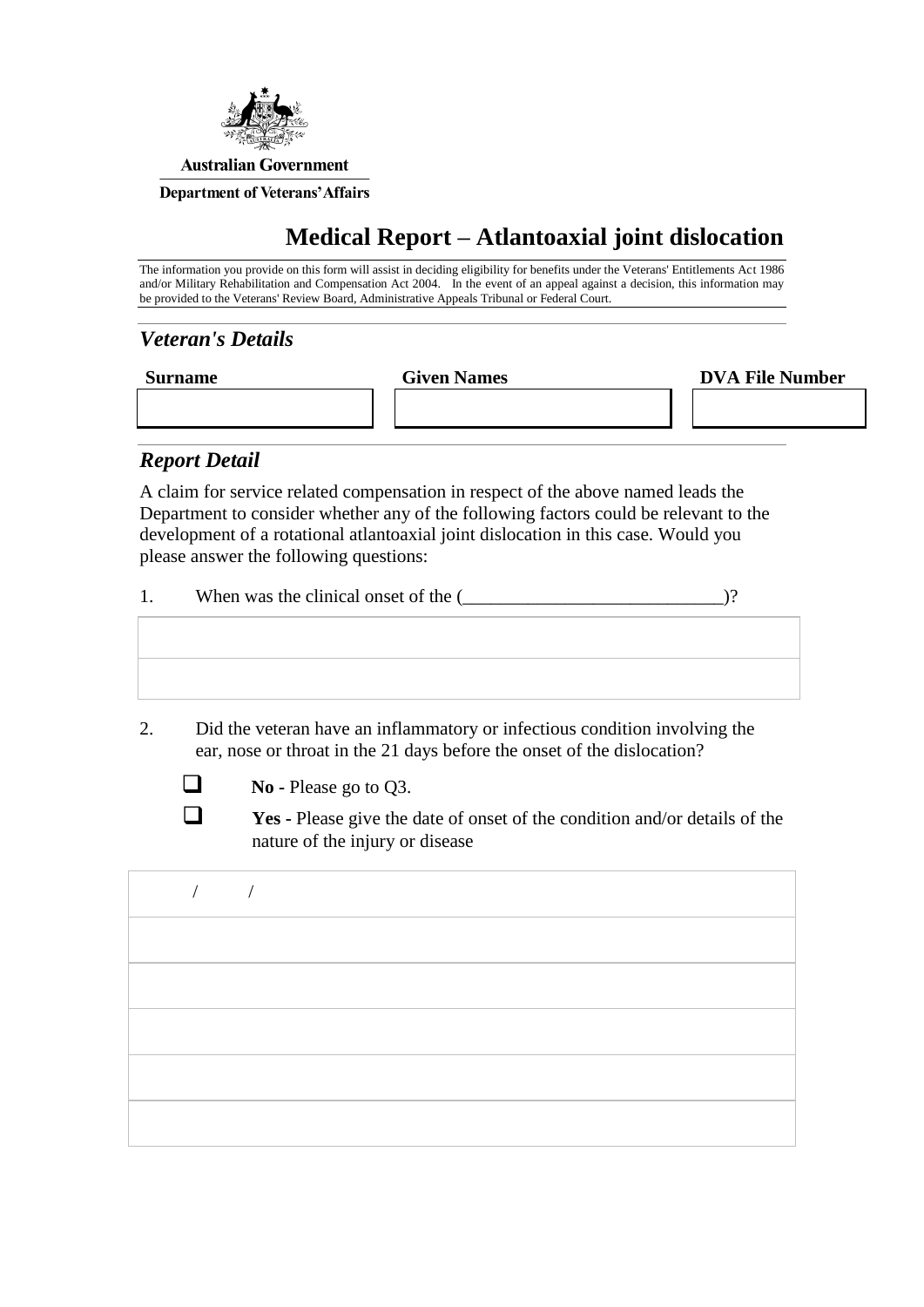

## **Medical Report – Atlantoaxial joint dislocation**

The information you provide on this form will assist in deciding eligibility for benefits under the Veterans' Entitlements Act 1986 and/or Military Rehabilitation and Compensation Act 2004. In the event of an appeal against a decision, this information may be provided to the Veterans' Review Board, Administrative Appeals Tribunal or Federal Court.

## *Veteran's Details*

| <b>Surname</b> | <b>Given Names</b> | <b>DVA File Number</b> |
|----------------|--------------------|------------------------|
|                |                    |                        |

## *Report Detail*

A claim for service related compensation in respect of the above named leads the Department to consider whether any of the following factors could be relevant to the development of a rotational atlantoaxial joint dislocation in this case. Would you please answer the following questions:

| When was the clinical onset of the ( |  |
|--------------------------------------|--|
|--------------------------------------|--|

2. Did the veteran have an inflammatory or infectious condition involving the ear, nose or throat in the 21 days before the onset of the dislocation?



**No** - Please go to Q3.

**Yes** - Please give the date of onset of the condition and/or details of the nature of the injury or disease

/ /